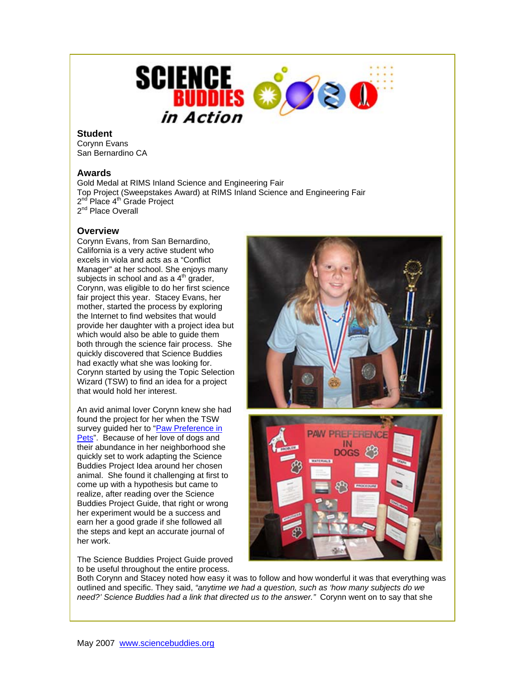

## **Student**

Corynn Evans San Bernardino CA

## **Awards**

Gold Medal at RIMS Inland Science and Engineering Fair Top Project (Sweepstakes Award) at RIMS Inland Science and Engineering Fair 2<sup>nd</sup> Place 4<sup>th</sup> Grade Project 2<sup>nd</sup> Place Overall

## **Overview**

Corynn Evans, from San Bernardino, California is a very active student who excels in viola and acts as a "Conflict Manager" at her school. She enjoys many subjects in school and as a  $4<sup>th</sup>$  grader, Corynn, was eligible to do her first science fair project this year. Stacey Evans, her mother, started the process by exploring the Internet to find websites that would provide her daughter with a project idea but which would also be able to guide them both through the science fair process. She quickly discovered that Science Buddies had exactly what she was looking for. Corynn started by using the Topic Selection Wizard (TSW) to find an idea for a project that would hold her interest.

An avid animal lover Corynn knew she had found the project for her when the TSW survey guided her to "Paw Preference in [Pets"](http://www.sciencebuddies.org/mentoring/project_ideas/MamBio_p011.shtml). Because of her love of dogs and their abundance in her neighborhood she quickly set to work adapting the Science Buddies Project Idea around her chosen animal. She found it challenging at first to come up with a hypothesis but came to realize, after reading over the Science Buddies Project Guide, that right or wrong her experiment would be a success and earn her a good grade if she followed all the steps and kept an accurate journal of her work.

The Science Buddies Project Guide proved to be useful throughout the entire process.



Both Corynn and Stacey noted how easy it was to follow and how wonderful it was that everything was outlined and specific. They said, *"anytime we had a question, such as 'how many subjects do we* 

*need?' Science Buddies had a link that directed us to the answer."* Corynn went on to say that she